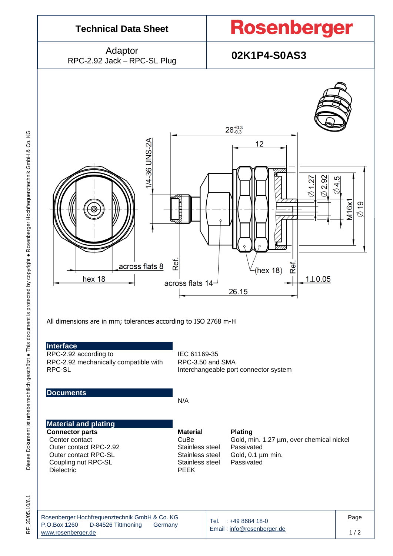

35/05.10/6.1 RF\_35/05.10/6.1 눈